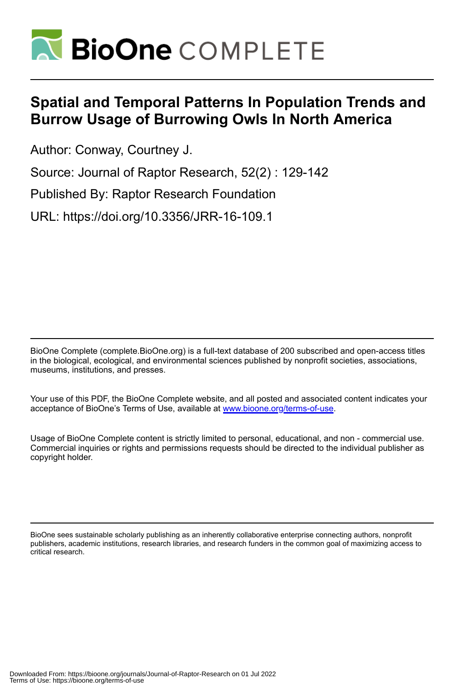

# **Spatial and Temporal Patterns In Population Trends and Burrow Usage of Burrowing Owls In North America**

Author: Conway, Courtney J.

Source: Journal of Raptor Research, 52(2) : 129-142

Published By: Raptor Research Foundation

URL: https://doi.org/10.3356/JRR-16-109.1

BioOne Complete (complete.BioOne.org) is a full-text database of 200 subscribed and open-access titles in the biological, ecological, and environmental sciences published by nonprofit societies, associations, museums, institutions, and presses.

Your use of this PDF, the BioOne Complete website, and all posted and associated content indicates your acceptance of BioOne's Terms of Use, available at www.bioone.org/terms-of-use.

Usage of BioOne Complete content is strictly limited to personal, educational, and non - commercial use. Commercial inquiries or rights and permissions requests should be directed to the individual publisher as copyright holder.

BioOne sees sustainable scholarly publishing as an inherently collaborative enterprise connecting authors, nonprofit publishers, academic institutions, research libraries, and research funders in the common goal of maximizing access to critical research.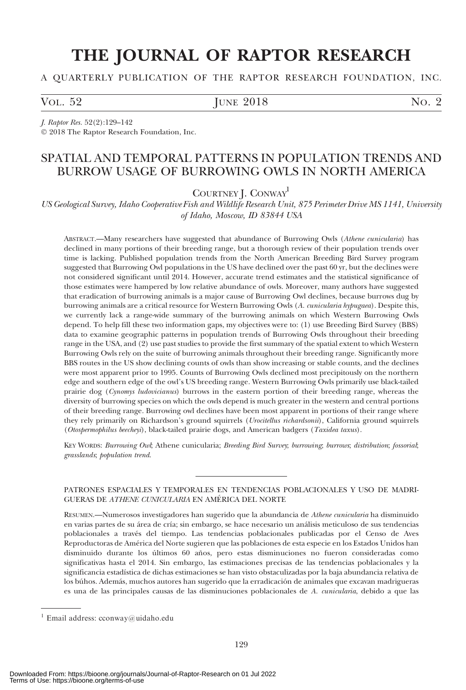# THE JOURNAL OF RAPTOR RESEARCH

# A QUARTERLY PUBLICATION OF THE RAPTOR RESEARCH FOUNDATION, INC.

VOL.  $52$  JUNE  $2018$  No. 2

J. Raptor Res. 52(2):129–142 - 2018 The Raptor Research Foundation, Inc.

# SPATIAL AND TEMPORAL PATTERNS IN POPULATION TRENDS AND BURROW USAGE OF BURROWING OWLS IN NORTH AMERICA

COURTNEY J. CONWAY<sup>1</sup>

US Geological Survey, Idaho Cooperative Fish and Wildlife Research Unit, 875 Perimeter Drive MS 1141, University of Idaho, Moscow, ID 83844 USA

ABSTRACT.—Many researchers have suggested that abundance of Burrowing Owls (Athene cunicularia) has declined in many portions of their breeding range, but a thorough review of their population trends over time is lacking. Published population trends from the North American Breeding Bird Survey program suggested that Burrowing Owl populations in the US have declined over the past 60 yr, but the declines were not considered significant until 2014. However, accurate trend estimates and the statistical significance of those estimates were hampered by low relative abundance of owls. Moreover, many authors have suggested that eradication of burrowing animals is a major cause of Burrowing Owl declines, because burrows dug by burrowing animals are a critical resource for Western Burrowing Owls (A. cunicularia hypugaea). Despite this, we currently lack a range-wide summary of the burrowing animals on which Western Burrowing Owls depend. To help fill these two information gaps, my objectives were to: (1) use Breeding Bird Survey (BBS) data to examine geographic patterns in population trends of Burrowing Owls throughout their breeding range in the USA, and (2) use past studies to provide the first summary of the spatial extent to which Western Burrowing Owls rely on the suite of burrowing animals throughout their breeding range. Significantly more BBS routes in the US show declining counts of owls than show increasing or stable counts, and the declines were most apparent prior to 1995. Counts of Burrowing Owls declined most precipitously on the northern edge and southern edge of the owl's US breeding range. Western Burrowing Owls primarily use black-tailed prairie dog (Cynomys ludovicianus) burrows in the eastern portion of their breeding range, whereas the diversity of burrowing species on which the owls depend is much greater in the western and central portions of their breeding range. Burrowing owl declines have been most apparent in portions of their range where they rely primarily on Richardson's ground squirrels (Urocitellus richardsonii), California ground squirrels (Otospermophilus beecheyi), black-tailed prairie dogs, and American badgers (Taxidea taxus).

KEY WORDS: Burrowing Owl; Athene cunicularia; Breeding Bird Survey; burrowing; burrows; distribution; fossorial; grasslands; population trend.

PATRONES ESPACIALES Y TEMPORALES EN TENDENCIAS POBLACIONALES Y USO DE MADRI-GUERAS DE ATHENE CUNICULARIA EN AMERICA DEL NORTE ´

RESUMEN.—Numerosos investigadores han sugerido que la abundancia de Athene cunicularia ha disminuido en varias partes de su área de cría; sin embargo, se hace necesario un análisis meticuloso de sus tendencias poblacionales a través del tiempo. Las tendencias poblacionales publicadas por el Censo de Aves Reproductoras de América del Norte sugieren que las poblaciones de esta especie en los Estados Unidos han disminuido durante los últimos 60 años, pero estas disminuciones no fueron consideradas como significativas hasta el 2014. Sin embargo, las estimaciones precisas de las tendencias poblacionales y la significancia estadística de dichas estimaciones se han visto obstaculizadas por la baja abundancia relativa de los búhos. Además, muchos autores han sugerido que la erradicación de animales que excavan madrigueras es una de las principales causas de las disminuciones poblacionales de A. cunicularia, debido a que las

<sup>1</sup> Email address: cconway@uidaho.edu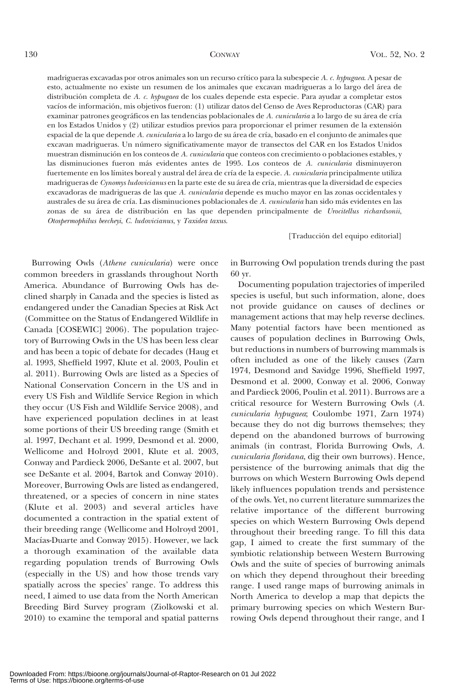madrigueras excavadas por otros animales son un recurso crítico para la subespecie A. c. hypugaea. A pesar de esto, actualmente no existe un resumen de los animales que excavan madrigueras a lo largo del área de distribución completa de A. c. hypugaea de los cuales depende esta especie. Para ayudar a completar estos vacíos de información, mis objetivos fueron: (1) utilizar datos del Censo de Aves Reproductoras (CAR) para examinar patrones geográficos en las tendencias poblacionales de A. cunicularia a lo largo de su área de cría en los Estados Unidos y (2) utilizar estudios previos para proporcionar el primer resumen de la extensio´n espacial de la que depende A. *cunicularia* a lo largo de su área de cría, basado en el conjunto de animales que excavan madrigueras. Un número significativamente mayor de transectos del CAR en los Estados Unidos muestran disminución en los conteos de A. cunicularia que conteos con crecimiento o poblaciones estables, y las disminuciones fueron más evidentes antes de 1995. Los conteos de A. *cunicularia* disminuyeron fuertemente en los límites boreal y austral del área de cría de la especie. A. cunicularia principalmente utiliza madrigueras de Cynomys ludovicianus en la parte este de su área de cría, mientras que la diversidad de especies excavadoras de madrigueras de las que A. *cunicularia* depende es mucho mayor en las zonas occidentales y australes de su área de cría. Las disminuciones poblacionales de A. cunicularia han sido más evidentes en las zonas de su área de distribución en las que dependen principalmente de Urocitellus richardsonii, Otospermophilus beecheyi, C. ludovicianus, y Taxidea taxus.

[Traducción del equipo editorial]

Burrowing Owls (Athene cunicularia) were once common breeders in grasslands throughout North America. Abundance of Burrowing Owls has declined sharply in Canada and the species is listed as endangered under the Canadian Species at Risk Act (Committee on the Status of Endangered Wildlife in Canada [COSEWIC] 2006). The population trajectory of Burrowing Owls in the US has been less clear and has been a topic of debate for decades (Haug et al. 1993, Sheffield 1997, Klute et al. 2003, Poulin et al. 2011). Burrowing Owls are listed as a Species of National Conservation Concern in the US and in every US Fish and Wildlife Service Region in which they occur (US Fish and Wildlife Service 2008), and have experienced population declines in at least some portions of their US breeding range (Smith et al. 1997, Dechant et al. 1999, Desmond et al. 2000, Wellicome and Holroyd 2001, Klute et al. 2003, Conway and Pardieck 2006, DeSante et al. 2007, but see DeSante et al. 2004, Bartok and Conway 2010). Moreover, Burrowing Owls are listed as endangered, threatened, or a species of concern in nine states (Klute et al. 2003) and several articles have documented a contraction in the spatial extent of their breeding range (Wellicome and Holroyd 2001, Macías-Duarte and Conway 2015). However, we lack a thorough examination of the available data regarding population trends of Burrowing Owls (especially in the US) and how those trends vary spatially across the species' range. To address this need, I aimed to use data from the North American Breeding Bird Survey program (Ziolkowski et al. 2010) to examine the temporal and spatial patterns

in Burrowing Owl population trends during the past 60 yr.

Documenting population trajectories of imperiled species is useful, but such information, alone, does not provide guidance on causes of declines or management actions that may help reverse declines. Many potential factors have been mentioned as causes of population declines in Burrowing Owls, but reductions in numbers of burrowing mammals is often included as one of the likely causes (Zarn 1974, Desmond and Savidge 1996, Sheffield 1997, Desmond et al. 2000, Conway et al. 2006, Conway and Pardieck 2006, Poulin et al. 2011). Burrows are a critical resource for Western Burrowing Owls (A. cunicularia hypugaea; Coulombe 1971, Zarn 1974) because they do not dig burrows themselves; they depend on the abandoned burrows of burrowing animals (in contrast, Florida Burrowing Owls, A. cunicularia floridana, dig their own burrows). Hence, persistence of the burrowing animals that dig the burrows on which Western Burrowing Owls depend likely influences population trends and persistence of the owls. Yet, no current literature summarizes the relative importance of the different burrowing species on which Western Burrowing Owls depend throughout their breeding range. To fill this data gap, I aimed to create the first summary of the symbiotic relationship between Western Burrowing Owls and the suite of species of burrowing animals on which they depend throughout their breeding range. I used range maps of burrowing animals in North America to develop a map that depicts the primary burrowing species on which Western Burrowing Owls depend throughout their range, and I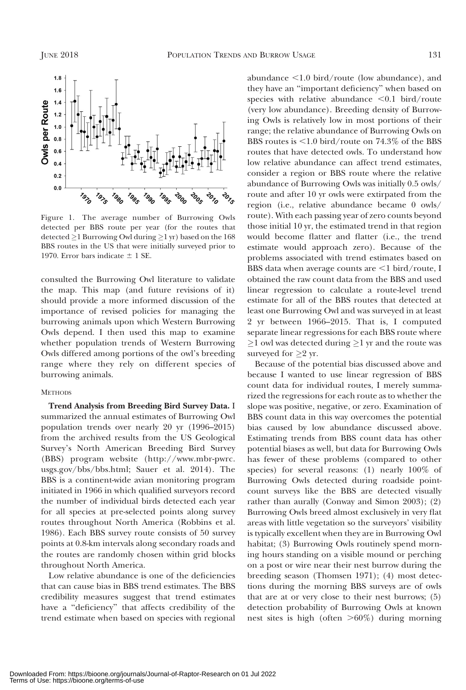

Figure 1. The average number of Burrowing Owls detected per BBS route per year (for the routes that detected  $\geq$  1 Burrowing Owl during  $\geq$  1 yr) based on the 168 BBS routes in the US that were initially surveyed prior to 1970. Error bars indicate  $\pm$  1 SE.

consulted the Burrowing Owl literature to validate the map. This map (and future revisions of it) should provide a more informed discussion of the importance of revised policies for managing the burrowing animals upon which Western Burrowing Owls depend. I then used this map to examine whether population trends of Western Burrowing Owls differed among portions of the owl's breeding range where they rely on different species of burrowing animals.

## **METHODS**

Trend Analysis from Breeding Bird Survey Data. I summarized the annual estimates of Burrowing Owl population trends over nearly 20 yr (1996–2015) from the archived results from the US Geological Survey's North American Breeding Bird Survey (BBS) program website (http://www.mbr-pwrc. usgs.gov/bbs/bbs.html; Sauer et al. 2014). The BBS is a continent-wide avian monitoring program initiated in 1966 in which qualified surveyors record the number of individual birds detected each year for all species at pre-selected points along survey routes throughout North America (Robbins et al. 1986). Each BBS survey route consists of 50 survey points at 0.8-km intervals along secondary roads and the routes are randomly chosen within grid blocks throughout North America.

Low relative abundance is one of the deficiencies that can cause bias in BBS trend estimates. The BBS credibility measures suggest that trend estimates have a ''deficiency'' that affects credibility of the trend estimate when based on species with regional abundance  $\leq 1.0$  bird/route (low abundance), and they have an ''important deficiency'' when based on species with relative abundance  $\leq 0.1$  bird/route (very low abundance). Breeding density of Burrowing Owls is relatively low in most portions of their range; the relative abundance of Burrowing Owls on BBS routes is  $\leq$ 1.0 bird/route on 74.3% of the BBS routes that have detected owls. To understand how low relative abundance can affect trend estimates, consider a region or BBS route where the relative abundance of Burrowing Owls was initially 0.5 owls/ route and after 10 yr owls were extirpated from the region (i.e., relative abundance became 0 owls/ route). With each passing year of zero counts beyond those initial 10 yr, the estimated trend in that region would become flatter and flatter (i.e., the trend estimate would approach zero). Because of the problems associated with trend estimates based on BBS data when average counts are  $\leq 1$  bird/route, I obtained the raw count data from the BBS and used linear regression to calculate a route-level trend estimate for all of the BBS routes that detected at least one Burrowing Owl and was surveyed in at least 2 yr between 1966–2015. That is, I computed separate linear regressions for each BBS route where  $\geq$ 1 owl was detected during  $\geq$ 1 yr and the route was surveyed for  $\geq$  yr.

Because of the potential bias discussed above and because I wanted to use linear regression of BBS count data for individual routes, I merely summarized the regressions for each route as to whether the slope was positive, negative, or zero. Examination of BBS count data in this way overcomes the potential bias caused by low abundance discussed above. Estimating trends from BBS count data has other potential biases as well, but data for Burrowing Owls has fewer of these problems (compared to other species) for several reasons: (1) nearly 100% of Burrowing Owls detected during roadside pointcount surveys like the BBS are detected visually rather than aurally (Conway and Simon 2003); (2) Burrowing Owls breed almost exclusively in very flat areas with little vegetation so the surveyors' visibility is typically excellent when they are in Burrowing Owl habitat; (3) Burrowing Owls routinely spend morning hours standing on a visible mound or perching on a post or wire near their nest burrow during the breeding season (Thomsen 1971); (4) most detections during the morning BBS surveys are of owls that are at or very close to their nest burrows; (5) detection probability of Burrowing Owls at known nest sites is high (often  $>60\%$ ) during morning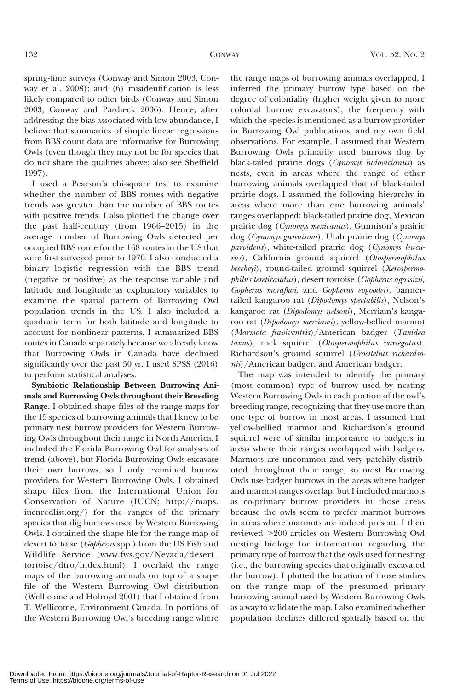spring-time surveys (Conway and Simon 2003, Conway et al. 2008); and (6) misidentification is less likely compared to other birds (Conway and Simon 2003, Conway and Pardieck 2006). Hence, after addressing the bias associated with low abundance, I believe that summaries of simple linear regressions from BBS count data are informative for Burrowing Owls (even though they may not be for species that do not share the qualities above; also see Sheffield 1997).

I used a Pearson's chi-square test to examine whether the number of BBS routes with negative trends was greater than the number of BBS routes with positive trends. I also plotted the change over the past half-century (from 1966–2015) in the average number of Burrowing Owls detected per occupied BBS route for the 168 routes in the US that were first surveyed prior to 1970. I also conducted a binary logistic regression with the BBS trend (negative or positive) as the response variable and latitude and longitude as explanatory variables to examine the spatial pattern of Burrowing Owl population trends in the US. I also included a quadratic term for both latitude and longitude to account for nonlinear patterns. I summarized BBS routes in Canada separately because we already know that Burrowing Owls in Canada have declined significantly over the past 50 yr. I used SPSS (2016) to perform statistical analyses.

Symbiotic Relationship Between Burrowing Animals and Burrowing Owls throughout their Breeding Range. I obtained shape files of the range maps for the 15 species of burrowing animals that I knew to be primary nest burrow providers for Western Burrowing Owls throughout their range in North America. I included the Florida Burrowing Owl for analyses of trend (above), but Florida Burrowing Owls excavate their own burrows, so I only examined burrow providers for Western Burrowing Owls. I obtained shape files from the International Union for Conservation of Nature (IUCN; http://maps. iucnredlist.org/) for the ranges of the primary species that dig burrows used by Western Burrowing Owls. I obtained the shape file for the range map of desert tortoise (Gopherus spp.) from the US Fish and Wildlife Service (www.fws.gov/Nevada/desert\_ tortoise/dtro/index.html). I overlaid the range maps of the burrowing animals on top of a shape file of the Western Burrowing Owl distribution (Wellicome and Holroyd 2001) that I obtained from T. Wellicome, Environment Canada. In portions of the Western Burrowing Owl's breeding range where

the range maps of burrowing animals overlapped, I inferred the primary burrow type based on the degree of coloniality (higher weight given to more colonial burrow excavators), the frequency with which the species is mentioned as a burrow provider in Burrowing Owl publications, and my own field observations. For example, I assumed that Western Burrowing Owls primarily used burrows dug by black-tailed prairie dogs (Cynomys ludovicianus) as nests, even in areas where the range of other burrowing animals overlapped that of black-tailed prairie dogs. I assumed the following hierarchy in areas where more than one burrowing animals' ranges overlapped: black-tailed prairie dog, Mexican prairie dog (Cynomys mexicanus), Gunnison's prairie dog (Cynomys gunnisoni), Utah prairie dog (Cynomys parvidens), white-tailed prairie dog (Cynomys leucurus), California ground squirrel (Otospermophilus beecheyi), round-tailed ground squirrel (Xerospermophilus tereticaudus), desert tortoise (Gopherus agassizii, Gopherus morafkai, and Gopherus evgoodei), bannertailed kangaroo rat (Dipodomys spectabilis), Nelson's kangaroo rat (Dipodomys nelsoni), Merriam's kangaroo rat (Dipodomys merriami), yellow-bellied marmot (Marmota flaviventris)/American badger (Taxidea taxus), rock squirrel (Otospermophilus variegatus), Richardson's ground squirrel (Urocitellus richardsonii)/American badger, and American badger.

The map was intended to identify the primary (most common) type of burrow used by nesting Western Burrowing Owls in each portion of the owl's breeding range, recognizing that they use more than one type of burrow in most areas. I assumed that yellow-bellied marmot and Richardson's ground squirrel were of similar importance to badgers in areas where their ranges overlapped with badgers. Marmots are uncommon and very patchily distributed throughout their range, so most Burrowing Owls use badger burrows in the areas where badger and marmot ranges overlap, but I included marmots as co-primary burrow providers in those areas because the owls seem to prefer marmot burrows in areas where marmots are indeed present. I then reviewed  $>200$  articles on Western Burrowing Owl nesting biology for information regarding the primary type of burrow that the owls used for nesting (i.e., the burrowing species that originally excavated the burrow). I plotted the location of those studies on the range map of the presumed primary burrowing animal used by Western Burrowing Owls as a way to validate the map. I also examined whether population declines differed spatially based on the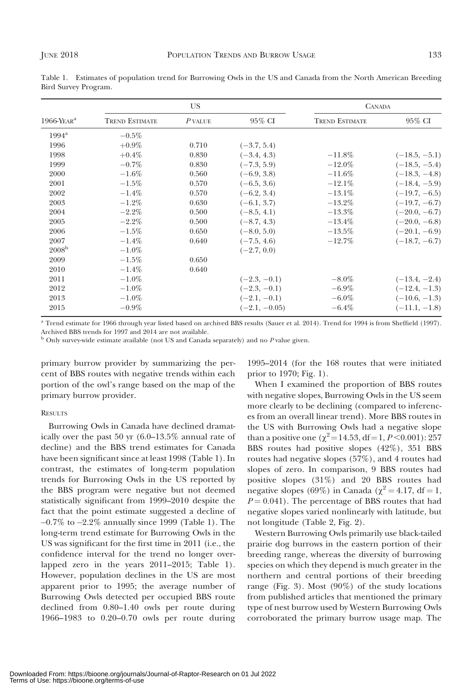Table 1. Estimates of population trend for Burrowing Owls in the US and Canada from the North American Breeding Bird Survey Program.

| $1966$ -Year <sup>a</sup> | US                    |           |                 | <b>CANADA</b>         |                 |
|---------------------------|-----------------------|-----------|-----------------|-----------------------|-----------------|
|                           | <b>TREND ESTIMATE</b> | $P$ VALUE | 95% CI          | <b>TREND ESTIMATE</b> | 95% CI          |
| $1994^{\rm a}$            | $-0.5\%$              |           |                 |                       |                 |
| 1996                      | $+0.9\%$              | 0.710     | $(-3.7, 5.4)$   |                       |                 |
| 1998                      | $+0.4\%$              | 0.830     | $(-3.4, 4.3)$   | $-11.8\%$             | $(-18.5, -5.1)$ |
| 1999                      | $-0.7\%$              | 0.830     | $(-7.3, 5.9)$   | $-12.0\%$             | $(-18.5, -5.4)$ |
| 2000                      | $-1.6\%$              | 0.560     | $(-6.9, 3.8)$   | $-11.6\%$             | $(-18.3, -4.8)$ |
| 2001                      | $-1.5\%$              | 0.570     | $(-6.5, 3.6)$   | $-12.1\%$             | $(-18.4, -5.9)$ |
| 2002                      | $-1.4\%$              | 0.570     | $(-6.2, 3.4)$   | $-13.1\%$             | $(-19.7, -6.5)$ |
| 2003                      | $-1.2\%$              | 0.630     | $(-6.1, 3.7)$   | $-13.2\%$             | $(-19.7, -6.7)$ |
| 2004                      | $-2.2\%$              | 0.500     | $(-8.5, 4.1)$   | $-13.3\%$             | $(-20.0, -6.7)$ |
| 2005                      | $-2.2\%$              | 0.500     | $(-8.7, 4.3)$   | $-13.4\%$             | $(-20.0, -6.8)$ |
| 2006                      | $-1.5\%$              | 0.650     | $(-8.0, 5.0)$   | $-13.5\%$             | $(-20.1, -6.9)$ |
| 2007                      | $-1.4\%$              | 0.640     | $(-7.5, 4.6)$   | $-12.7%$              | $(-18.7, -6.7)$ |
| 2008 <sup>b</sup>         | $-1.0\%$              |           | $(-2.7, 0.0)$   |                       |                 |
| 2009                      | $-1.5\%$              | 0.650     |                 |                       |                 |
| 2010                      | $-1.4\%$              | 0.640     |                 |                       |                 |
| 2011                      | $-1.0\%$              |           | $(-2.3, -0.1)$  | $-8.0\%$              | $(-13.4, -2.4)$ |
| 2012                      | $-1.0\%$              |           | $(-2.3, -0.1)$  | $-6.9\%$              | $(-12.4, -1.3)$ |
| 2013                      | $-1.0\%$              |           | $(-2.1, -0.1)$  | $-6.0\%$              | $(-10.6, -1.3)$ |
| 2015                      | $-0.9\%$              |           | $(-2.1, -0.05)$ | $-6.4\%$              | $(-11.1, -1.8)$ |

<sup>a</sup> Trend estimate for 1966 through year listed based on archived BBS results (Sauer et al. 2014). Trend for 1994 is from Sheffield (1997). Archived BBS trends for 1997 and 2014 are not available.

 $b$  Only survey-wide estimate available (not US and Canada separately) and no  $P$  value given.

primary burrow provider by summarizing the percent of BBS routes with negative trends within each portion of the owl's range based on the map of the primary burrow provider.

### **RESULTS**

Burrowing Owls in Canada have declined dramatically over the past 50 yr (6.0–13.5% annual rate of decline) and the BBS trend estimates for Canada have been significant since at least 1998 (Table 1). In contrast, the estimates of long-term population trends for Burrowing Owls in the US reported by the BBS program were negative but not deemed statistically significant from 1999–2010 despite the fact that the point estimate suggested a decline of  $-0.7\%$  to  $-2.2\%$  annually since 1999 (Table 1). The long-term trend estimate for Burrowing Owls in the US was significant for the first time in 2011 (i.e., the confidence interval for the trend no longer overlapped zero in the years 2011–2015; Table 1). However, population declines in the US are most apparent prior to 1995; the average number of Burrowing Owls detected per occupied BBS route declined from 0.80–1.40 owls per route during 1966–1983 to 0.20–0.70 owls per route during 1995–2014 (for the 168 routes that were initiated prior to 1970; Fig. 1).

When I examined the proportion of BBS routes with negative slopes, Burrowing Owls in the US seem more clearly to be declining (compared to inferences from an overall linear trend). More BBS routes in the US with Burrowing Owls had a negative slope than a positive one ( $\chi^2$ =14.53, df=1, *P* <0.001): 257 BBS routes had positive slopes (42%), 351 BBS routes had negative slopes (57%), and 4 routes had slopes of zero. In comparison, 9 BBS routes had positive slopes (31%) and 20 BBS routes had negative slopes (69%) in Canada ( $\chi^2 = 4.17$ , df = 1,  $P = 0.041$ ). The percentage of BBS routes that had negative slopes varied nonlinearly with latitude, but not longitude (Table 2, Fig. 2).

Western Burrowing Owls primarily use black-tailed prairie dog burrows in the eastern portion of their breeding range, whereas the diversity of burrowing species on which they depend is much greater in the northern and central portions of their breeding range (Fig. 3). Most (90%) of the study locations from published articles that mentioned the primary type of nest burrow used by Western Burrowing Owls corroborated the primary burrow usage map. The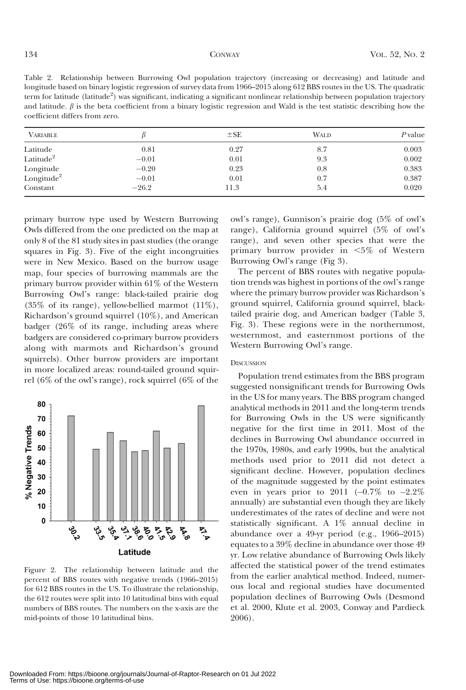Table 2. Relationship between Burrowing Owl population trajectory (increasing or decreasing) and latitude and longitude based on binary logistic regression of survey data from 1966–2015 along 612 BBS routes in the US. The quadratic term for latitude (latitude<sup>2</sup>) was significant, indicating a significant nonlinear relationship between population trajectory and latitude.  $\beta$  is the beta coefficient from a binary logistic regression and Wald is the test statistic describing how the coefficient differs from zero.

| <b>VARIABLE</b>        |         | $\pm$ SE | <b>WALD</b> | P value |
|------------------------|---------|----------|-------------|---------|
| Latitude               | 0.81    | 0.27     | 8.7         | 0.003   |
| Latitude <sup>2</sup>  | $-0.01$ | 0.01     | 9.3         | 0.002   |
| Longitude              | $-0.20$ | 0.23     | 0.8         | 0.383   |
| Longitude <sup>2</sup> | $-0.01$ | 0.01     | 0.7         | 0.387   |
| Constant               | $-26.2$ | 11.3     | 5.4         | 0.020   |

primary burrow type used by Western Burrowing Owls differed from the one predicted on the map at only 8 of the 81 study sites in past studies (the orange squares in Fig. 3). Five of the eight incongruities were in New Mexico. Based on the burrow usage map, four species of burrowing mammals are the primary burrow provider within 61% of the Western Burrowing Owl's range: black-tailed prairie dog  $(35\% \text{ of its range})$ , yellow-bellied marmot  $(11\%)$ , Richardson's ground squirrel (10%), and American badger (26% of its range, including areas where badgers are considered co-primary burrow providers along with marmots and Richardson's ground squirrels). Other burrow providers are important in more localized areas: round-tailed ground squirrel (6% of the owl's range), rock squirrel (6% of the



Figure 2. The relationship between latitude and the percent of BBS routes with negative trends (1966–2015) for 612 BBS routes in the US. To illustrate the relationship, the 612 routes were split into 10 latitudinal bins with equal numbers of BBS routes. The numbers on the x-axis are the mid-points of those 10 latitudinal bins.

owl's range), Gunnison's prairie dog (5% of owl's range), California ground squirrel (5% of owl's range), and seven other species that were the primary burrow provider in  $<5\%$  of Western Burrowing Owl's range (Fig 3).

The percent of BBS routes with negative population trends was highest in portions of the owl's range where the primary burrow provider was Richardson's ground squirrel, California ground squirrel, blacktailed prairie dog, and American badger (Table 3, Fig. 3). These regions were in the northernmost, westernmost, and easternmost portions of the Western Burrowing Owl's range.

## **DISCUSSION**

Population trend estimates from the BBS program suggested nonsignificant trends for Burrowing Owls in the US for many years. The BBS program changed analytical methods in 2011 and the long-term trends for Burrowing Owls in the US were significantly negative for the first time in 2011. Most of the declines in Burrowing Owl abundance occurred in the 1970s, 1980s, and early 1990s, but the analytical methods used prior to 2011 did not detect a significant decline. However, population declines of the magnitude suggested by the point estimates even in years prior to 2011  $(-0.7\%$  to  $-2.2\%$ annually) are substantial even though they are likely underestimates of the rates of decline and were not statistically significant. A 1% annual decline in abundance over a 49-yr period (e.g., 1966–2015) equates to a 39% decline in abundance over those 49 yr. Low relative abundance of Burrowing Owls likely affected the statistical power of the trend estimates from the earlier analytical method. Indeed, numerous local and regional studies have documented population declines of Burrowing Owls (Desmond et al. 2000, Klute et al. 2003, Conway and Pardieck 2006).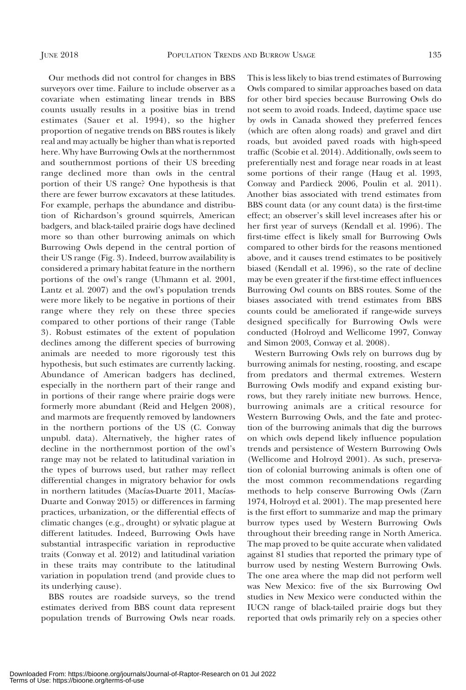Our methods did not control for changes in BBS surveyors over time. Failure to include observer as a covariate when estimating linear trends in BBS counts usually results in a positive bias in trend estimates (Sauer et al. 1994), so the higher proportion of negative trends on BBS routes is likely real and may actually be higher than what is reported here. Why have Burrowing Owls at the northernmost and southernmost portions of their US breeding range declined more than owls in the central portion of their US range? One hypothesis is that there are fewer burrow excavators at these latitudes. For example, perhaps the abundance and distribution of Richardson's ground squirrels, American badgers, and black-tailed prairie dogs have declined more so than other burrowing animals on which Burrowing Owls depend in the central portion of their US range (Fig. 3). Indeed, burrow availability is considered a primary habitat feature in the northern portions of the owl's range (Uhmann et al. 2001, Lantz et al. 2007) and the owl's population trends were more likely to be negative in portions of their range where they rely on these three species compared to other portions of their range (Table 3). Robust estimates of the extent of population declines among the different species of burrowing animals are needed to more rigorously test this hypothesis, but such estimates are currently lacking. Abundance of American badgers has declined, especially in the northern part of their range and in portions of their range where prairie dogs were formerly more abundant (Reid and Helgen 2008), and marmots are frequently removed by landowners in the northern portions of the US (C. Conway unpubl. data). Alternatively, the higher rates of decline in the northernmost portion of the owl's range may not be related to latitudinal variation in the types of burrows used, but rather may reflect differential changes in migratory behavior for owls in northern latitudes (Macías-Duarte 2011, Macías-Duarte and Conway 2015) or differences in farming practices, urbanization, or the differential effects of climatic changes (e.g., drought) or sylvatic plague at different latitudes. Indeed, Burrowing Owls have substantial intraspecific variation in reproductive traits (Conway et al. 2012) and latitudinal variation in these traits may contribute to the latitudinal variation in population trend (and provide clues to its underlying cause).

BBS routes are roadside surveys, so the trend estimates derived from BBS count data represent population trends of Burrowing Owls near roads.

This is less likely to bias trend estimates of Burrowing Owls compared to similar approaches based on data for other bird species because Burrowing Owls do not seem to avoid roads. Indeed, daytime space use by owls in Canada showed they preferred fences (which are often along roads) and gravel and dirt roads, but avoided paved roads with high-speed traffic (Scobie et al. 2014). Additionally, owls seem to preferentially nest and forage near roads in at least some portions of their range (Haug et al. 1993, Conway and Pardieck 2006, Poulin et al. 2011). Another bias associated with trend estimates from BBS count data (or any count data) is the first-time effect; an observer's skill level increases after his or her first year of surveys (Kendall et al. 1996). The first-time effect is likely small for Burrowing Owls compared to other birds for the reasons mentioned above, and it causes trend estimates to be positively biased (Kendall et al. 1996), so the rate of decline may be even greater if the first-time effect influences Burrowing Owl counts on BBS routes. Some of the biases associated with trend estimates from BBS counts could be ameliorated if range-wide surveys designed specifically for Burrowing Owls were conducted (Holroyd and Wellicome 1997, Conway and Simon 2003, Conway et al. 2008).

Western Burrowing Owls rely on burrows dug by burrowing animals for nesting, roosting, and escape from predators and thermal extremes. Western Burrowing Owls modify and expand existing burrows, but they rarely initiate new burrows. Hence, burrowing animals are a critical resource for Western Burrowing Owls, and the fate and protection of the burrowing animals that dig the burrows on which owls depend likely influence population trends and persistence of Western Burrowing Owls (Wellicome and Holroyd 2001). As such, preservation of colonial burrowing animals is often one of the most common recommendations regarding methods to help conserve Burrowing Owls (Zarn 1974, Holroyd et al. 2001). The map presented here is the first effort to summarize and map the primary burrow types used by Western Burrowing Owls throughout their breeding range in North America. The map proved to be quite accurate when validated against 81 studies that reported the primary type of burrow used by nesting Western Burrowing Owls. The one area where the map did not perform well was New Mexico: five of the six Burrowing Owl studies in New Mexico were conducted within the IUCN range of black-tailed prairie dogs but they reported that owls primarily rely on a species other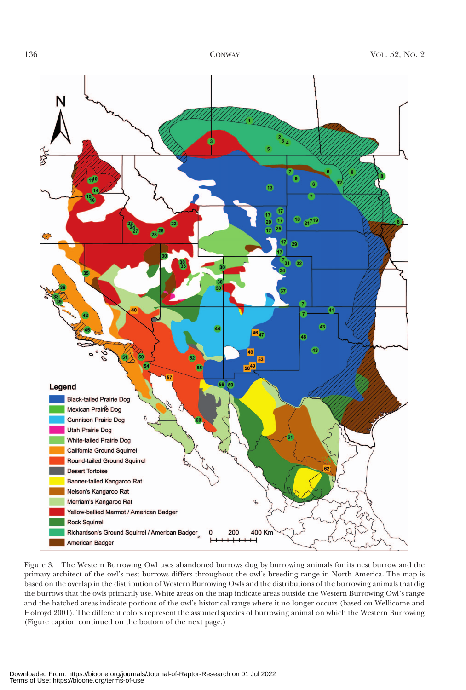

Figure 3. The Western Burrowing Owl uses abandoned burrows dug by burrowing animals for its nest burrow and the primary architect of the owl's nest burrows differs throughout the owl's breeding range in North America. The map is based on the overlap in the distribution of Western Burrowing Owls and the distributions of the burrowing animals that dig the burrows that the owls primarily use. White areas on the map indicate areas outside the Western Burrowing Owl's range and the hatched areas indicate portions of the owl's historical range where it no longer occurs (based on Wellicome and Holroyd 2001). The different colors represent the assumed species of burrowing animal on which the Western Burrowing (Figure caption continued on the bottom of the next page.)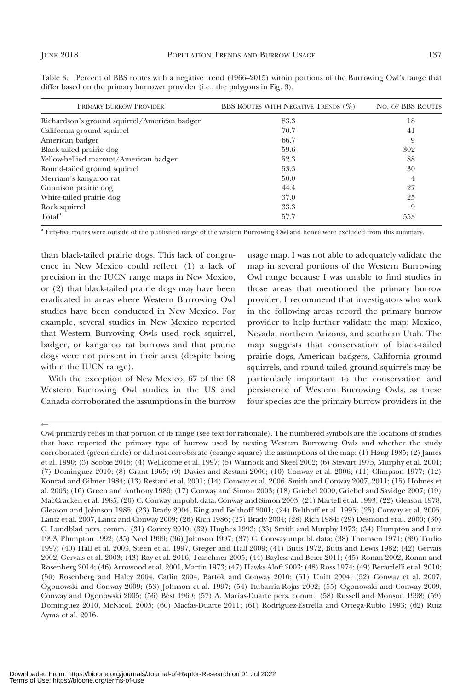| <b>PRIMARY BURROW PROVIDER</b>               | <b>BBS ROUTES WITH NEGATIVE TRENDS (%)</b> | <b>NO. OF BBS ROUTES</b> |
|----------------------------------------------|--------------------------------------------|--------------------------|
| Richardson's ground squirrel/American badger | 83.3                                       | 18                       |
| California ground squirrel                   | 70.7                                       | 41                       |
| American badger                              | 66.7                                       | 9                        |
| Black-tailed prairie dog                     | 59.6                                       | 302                      |
| Yellow-bellied marmot/American badger        | 52.3                                       | 88                       |
| Round-tailed ground squirrel                 | 53.3                                       | 30                       |
| Merriam's kangaroo rat                       | 50.0                                       | 4                        |
| Gunnison prairie dog                         | 44.4                                       | 27                       |
| White-tailed prairie dog                     | 37.0                                       | 25                       |
| Rock squirrel                                | 33.3                                       | 9                        |
| Total <sup>a</sup>                           | 57.7                                       | 553                      |

Table 3. Percent of BBS routes with a negative trend (1966–2015) within portions of the Burrowing Owl's range that differ based on the primary burrower provider (i.e., the polygons in Fig. 3).

<sup>a</sup> Fifty-five routes were outside of the published range of the western Burrowing Owl and hence were excluded from this summary.

than black-tailed prairie dogs. This lack of congruence in New Mexico could reflect: (1) a lack of precision in the IUCN range maps in New Mexico, or (2) that black-tailed prairie dogs may have been eradicated in areas where Western Burrowing Owl studies have been conducted in New Mexico. For example, several studies in New Mexico reported that Western Burrowing Owls used rock squirrel, badger, or kangaroo rat burrows and that prairie dogs were not present in their area (despite being within the IUCN range).

With the exception of New Mexico, 67 of the 68 Western Burrowing Owl studies in the US and Canada corroborated the assumptions in the burrow

usage map. I was not able to adequately validate the map in several portions of the Western Burrowing Owl range because I was unable to find studies in those areas that mentioned the primary burrow provider. I recommend that investigators who work in the following areas record the primary burrow provider to help further validate the map: Mexico, Nevada, northern Arizona, and southern Utah. The map suggests that conservation of black-tailed prairie dogs, American badgers, California ground squirrels, and round-tailed ground squirrels may be particularly important to the conservation and persistence of Western Burrowing Owls, as these four species are the primary burrow providers in the

 $\leftarrow$ Owl primarily relies in that portion of its range (see text for rationale). The numbered symbols are the locations of studies that have reported the primary type of burrow used by nesting Western Burrowing Owls and whether the study corroborated (green circle) or did not corroborate (orange square) the assumptions of the map: (1) Haug 1985; (2) James et al. 1990; (3) Scobie 2015; (4) Wellicome et al. 1997; (5) Warnock and Skeel 2002; (6) Stewart 1975, Murphy et al. 2001; (7) Dominguez 2010; (8) Grant 1965; (9) Davies and Restani 2006; (10) Conway et al. 2006; (11) Climpson 1977; (12) Konrad and Gilmer 1984; (13) Restani et al. 2001; (14) Conway et al. 2006, Smith and Conway 2007, 2011; (15) Holmes et al. 2003; (16) Green and Anthony 1989; (17) Conway and Simon 2003; (18) Griebel 2000, Griebel and Savidge 2007; (19) MacCracken et al. 1985; (20) C. Conway unpubl. data, Conway and Simon 2003; (21) Martell et al. 1993; (22) Gleason 1978, Gleason and Johnson 1985; (23) Brady 2004, King and Belthoff 2001; (24) Belthoff et al. 1995; (25) Conway et al. 2005, Lantz et al. 2007, Lantz and Conway 2009; (26) Rich 1986; (27) Brady 2004; (28) Rich 1984; (29) Desmond et al. 2000; (30) C. Lundblad pers. comm.; (31) Conrey 2010; (32) Hughes 1993; (33) Smith and Murphy 1973; (34) Plumpton and Lutz 1993, Plumpton 1992; (35) Neel 1999; (36) Johnson 1997; (37) C. Conway unpubl. data; (38) Thomsen 1971; (39) Trulio 1997; (40) Hall et al. 2003, Steen et al. 1997, Greger and Hall 2009; (41) Butts 1972, Butts and Lewis 1982; (42) Gervais 2002, Gervais et al. 2003; (43) Ray et al. 2016, Teaschner 2005; (44) Bayless and Beier 2011; (45) Ronan 2002, Ronan and Rosenberg 2014; (46) Arrowood et al. 2001, Martin 1973; (47) Hawks Aloft 2003; (48) Ross 1974; (49) Berardelli et al. 2010; (50) Rosenberg and Haley 2004, Catlin 2004, Bartok and Conway 2010; (51) Unitt 2004; (52) Conway et al. 2007, Ogonowski and Conway 2009; (53) Johnson et al. 1997; (54) Itubarría-Rojas 2002; (55) Ogonowski and Conway 2009, Conway and Ogonowski 2005; (56) Best 1969; (57) A. Macías-Duarte pers. comm.; (58) Russell and Monson 1998; (59) Dominguez 2010, McNicoll 2005; (60) Mac´ıas-Duarte 2011; (61) Rodriguez-Estrella and Ortega-Rubio 1993; (62) Ruiz Ayma et al. 2016.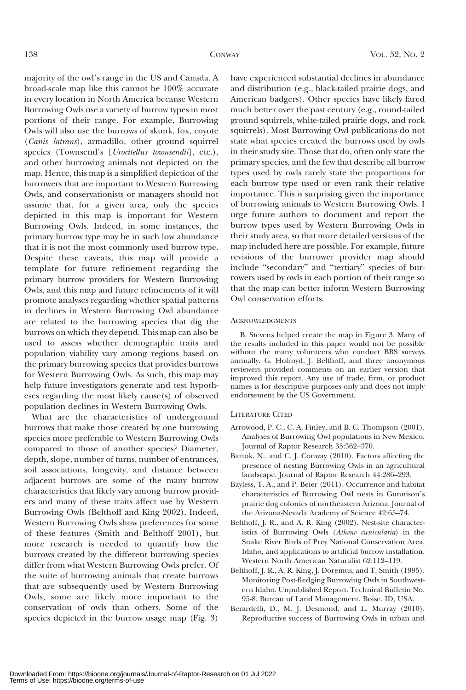majority of the owl's range in the US and Canada. A broad-scale map like this cannot be 100% accurate in every location in North America because Western Burrowing Owls use a variety of burrow types in most portions of their range. For example, Burrowing Owls will also use the burrows of skunk, fox, coyote (Canis latrans), armadillo, other ground squirrel species (Townsend's [*Urocitellus townsendii*], etc.), and other burrowing animals not depicted on the map. Hence, this map is a simplified depiction of the burrowers that are important to Western Burrowing Owls, and conservationists or managers should not assume that, for a given area, only the species depicted in this map is important for Western Burrowing Owls. Indeed, in some instances, the primary burrow type may be in such low abundance that it is not the most commonly used burrow type. Despite these caveats, this map will provide a template for future refinement regarding the primary burrow providers for Western Burrowing Owls, and this map and future refinements of it will promote analyses regarding whether spatial patterns in declines in Western Burrowing Owl abundance are related to the burrowing species that dig the burrows on which they depend. This map can also be used to assess whether demographic traits and population viability vary among regions based on the primary burrowing species that provides burrows for Western Burrowing Owls. As such, this map may help future investigators generate and test hypotheses regarding the most likely cause(s) of observed population declines in Western Burrowing Owls.

What are the characteristics of underground burrows that make those created by one burrowing species more preferable to Western Burrowing Owls compared to those of another species? Diameter, depth, slope, number of turns, number of entrances, soil associations, longevity, and distance between adjacent burrows are some of the many burrow characteristics that likely vary among burrow providers and many of these traits affect use by Western Burrowing Owls (Belthoff and King 2002). Indeed, Western Burrowing Owls show preferences for some of these features (Smith and Belthoff 2001), but more research is needed to quantify how the burrows created by the different burrowing species differ from what Western Burrowing Owls prefer. Of the suite of burrowing animals that create burrows that are subsequently used by Western Burrowing Owls, some are likely more important to the conservation of owls than others. Some of the species depicted in the burrow usage map (Fig. 3)

have experienced substantial declines in abundance and distribution (e.g., black-tailed prairie dogs, and American badgers). Other species have likely fared much better over the past century (e.g., round-tailed ground squirrels, white-tailed prairie dogs, and rock squirrels). Most Burrowing Owl publications do not state what species created the burrows used by owls in their study site. Those that do, often only state the primary species, and the few that describe all burrow types used by owls rarely state the proportions for each burrow type used or even rank their relative importance. This is surprising given the importance of burrowing animals to Western Burrowing Owls. I urge future authors to document and report the burrow types used by Western Burrowing Owls in their study area, so that more detailed versions of the map included here are possible. For example, future revisions of the burrower provider map should include ''secondary'' and ''tertiary'' species of burrowers used by owls in each portion of their range so that the map can better inform Western Burrowing Owl conservation efforts.

# ACKNOWLEDGMENTS

B. Stevens helped create the map in Figure 3. Many of the results included in this paper would not be possible without the many volunteers who conduct BBS surveys annually. G. Holroyd, J. Belthoff, and three anonymous reviewers provided comments on an earlier version that improved this report. Any use of trade, firm, or product names is for descriptive purposes only and does not imply endorsement by the US Government.

### LITERATURE CITED

- Arrowood, P. C., C. A. Finley, and B. C. Thompson (2001). Analyses of Burrowing Owl populations in New Mexico. Journal of Raptor Research 35:362–370.
- Bartok, N., and C. J. Conway (2010). Factors affecting the presence of nesting Burrowing Owls in an agricultural landscape. Journal of Raptor Research 44:286–293.
- Bayless, T. A., and P. Beier (2011). Occurrence and habitat characteristics of Burrowing Owl nests in Gunnison's prairie dog colonies of northeastern Arizona. Journal of the Arizona-Nevada Academy of Science 42:65–74.
- Belthoff, J. R., and A. R. King (2002). Nest-site characteristics of Burrowing Owls (Athene cunicularia) in the Snake River Birds of Prey National Conservation Area, Idaho, and applications to artificial burrow installation. Western North American Naturalist 62:112–119.
- Belthoff, J. R., A. R. King, J. Doremus, and T. Smith (1995). Monitoring Post-fledging Burrowing Owls in Southwestern Idaho. Unpublished Report. Technical Bulletin No. 95-8. Bureau of Land Management, Boise, ID, USA.
- Berardelli, D., M. J. Desmond, and L. Murray (2010). Reproductive success of Burrowing Owls in urban and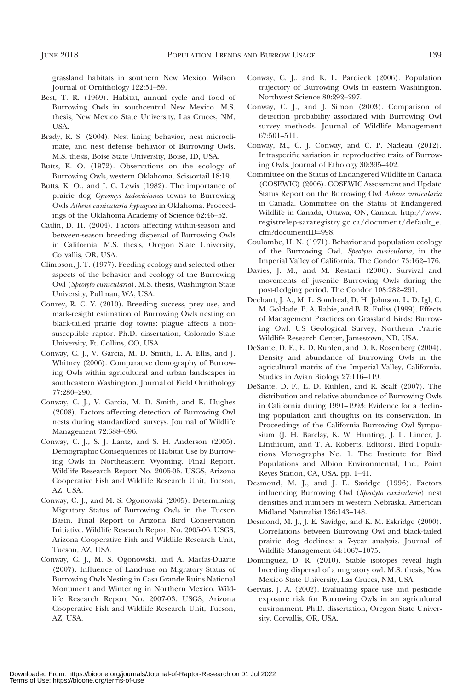grassland habitats in southern New Mexico. Wilson Journal of Ornithology 122:51–59.

- Best, T. R. (1969). Habitat, annual cycle and food of Burrowing Owls in southcentral New Mexico. M.S. thesis, New Mexico State University, Las Cruces, NM, USA.
- Brady, R. S. (2004). Nest lining behavior, nest microclimate, and nest defense behavior of Burrowing Owls. M.S. thesis, Boise State University, Boise, ID, USA.
- Butts, K. O. (1972). Observations on the ecology of Burrowing Owls, western Oklahoma. Scissortail 18:19.
- Butts, K. O., and J. C. Lewis (1982). The importance of prairie dog Cynomys ludovicianus towns to Burrowing Owls Athene cunicularia hypugaea in Oklahoma. Proceedings of the Oklahoma Academy of Science 62:46–52.
- Catlin, D. H. (2004). Factors affecting within-season and between-season breeding dispersal of Burrowing Owls in California. M.S. thesis, Oregon State University, Corvallis, OR, USA.
- Climpson, J. T. (1977). Feeding ecology and selected other aspects of the behavior and ecology of the Burrowing Owl (Speotyto cunicularia). M.S. thesis, Washington State University, Pullman, WA, USA.
- Conrey, R. C. Y. (2010). Breeding success, prey use, and mark-resight estimation of Burrowing Owls nesting on black-tailed prairie dog towns: plague affects a nonsusceptible raptor. Ph.D. dissertation, Colorado State University, Ft. Collins, CO, USA
- Conway, C. J., V. Garcia, M. D. Smith, L. A. Ellis, and J. Whitney (2006). Comparative demography of Burrowing Owls within agricultural and urban landscapes in southeastern Washington. Journal of Field Ornithology 77:280–290.
- Conway, C. J., V. Garcia, M. D. Smith, and K. Hughes (2008). Factors affecting detection of Burrowing Owl nests during standardized surveys. Journal of Wildlife Management 72:688–696.
- Conway, C. J., S. J. Lantz, and S. H. Anderson (2005). Demographic Consequences of Habitat Use by Burrowing Owls in Northeastern Wyoming. Final Report. Wildlife Research Report No. 2005-05. USGS, Arizona Cooperative Fish and Wildlife Research Unit, Tucson, AZ, USA.
- Conway, C. J., and M. S. Ogonowski (2005). Determining Migratory Status of Burrowing Owls in the Tucson Basin. Final Report to Arizona Bird Conservation Initiative. Wildlife Research Report No. 2005-06. USGS, Arizona Cooperative Fish and Wildlife Research Unit, Tucson, AZ, USA.
- Conway, C. J., M. S. Ogonowski, and A. Macías-Duarte (2007). Influence of Land-use on Migratory Status of Burrowing Owls Nesting in Casa Grande Ruins National Monument and Wintering in Northern Mexico. Wildlife Research Report No. 2007-03. USGS, Arizona Cooperative Fish and Wildlife Research Unit, Tucson, AZ, USA.
- Conway, C. J., and K. L. Pardieck (2006). Population trajectory of Burrowing Owls in eastern Washington. Northwest Science 80:292–297.
- Conway, C. J., and J. Simon (2003). Comparison of detection probability associated with Burrowing Owl survey methods. Journal of Wildlife Management 67:501–511.
- Conway, M., C. J. Conway, and C. P. Nadeau (2012). Intraspecific variation in reproductive traits of Burrowing Owls. Journal of Ethology 30:395–402.
- Committee on the Status of Endangered Wildlife in Canada (COSEWIC) (2006). COSEWIC Assessment and Update Status Report on the Burrowing Owl Athene cunicularia in Canada. Committee on the Status of Endangered Wildlife in Canada, Ottawa, ON, Canada. http://www. registrelep-sararegistry.gc.ca/document/default\_e. cfm?documentID=998.
- Coulombe, H. N. (1971). Behavior and population ecology of the Burrowing Owl, Speotyto cunicularia, in the Imperial Valley of California. The Condor 73:162–176.
- Davies, J. M., and M. Restani (2006). Survival and movements of juvenile Burrowing Owls during the post-fledging period. The Condor 108:282–291.
- Dechant, J. A., M. L. Sondreal, D. H. Johnson, L. D. Igl, C. M. Goldade, P. A. Rabie, and B. R. Euliss (1999). Effects of Management Practices on Grassland Birds: Burrowing Owl. US Geological Survey, Northern Prairie Wildlife Research Center, Jamestown, ND, USA.
- DeSante, D. F., E. D. Ruhlen, and D. K. Rosenberg (2004). Density and abundance of Burrowing Owls in the agricultural matrix of the Imperial Valley, California. Studies in Avian Biology 27:116–119.
- DeSante, D. F., E. D. Ruhlen, and R. Scalf (2007). The distribution and relative abundance of Burrowing Owls in California during 1991–1993: Evidence for a declining population and thoughts on its conservation. In Proceedings of the California Burrowing Owl Symposium (J. H. Barclay, K. W. Hunting, J. L. Lincer, J. Linthicum, and T. A. Roberts, Editors). Bird Populations Monographs No. 1. The Institute for Bird Populations and Albion Environmental, Inc., Point Reyes Station, CA, USA. pp. 1–41.
- Desmond, M. J., and J. E. Savidge (1996). Factors influencing Burrowing Owl (Speotyto cunicularia) nest densities and numbers in western Nebraska. American Midland Naturalist 136:143–148.
- Desmond, M. J., J. E. Savidge, and K. M. Eskridge (2000). Correlations between Burrowing Owl and black-tailed prairie dog declines: a 7-year analysis. Journal of Wildlife Management 64:1067–1075.
- Dominguez, D. R. (2010). Stable isotopes reveal high breeding dispersal of a migratory owl. M.S. thesis, New Mexico State University, Las Cruces, NM, USA.
- Gervais, J. A. (2002). Evaluating space use and pesticide exposure risk for Burrowing Owls in an agricultural environment. Ph.D. dissertation, Oregon State University, Corvallis, OR, USA.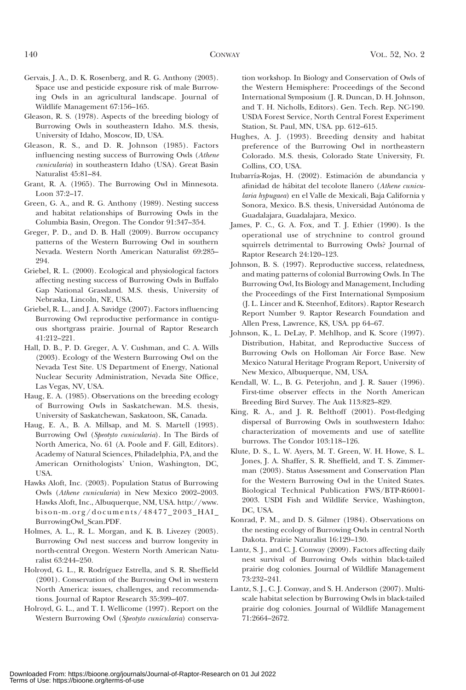- Gervais, J. A., D. K. Rosenberg, and R. G. Anthony (2003). Space use and pesticide exposure risk of male Burrowing Owls in an agricultural landscape. Journal of Wildlife Management 67:156–165.
- Gleason, R. S. (1978). Aspects of the breeding biology of Burrowing Owls in southeastern Idaho. M.S. thesis, University of Idaho, Moscow, ID, USA.
- Gleason, R. S., and D. R. Johnson (1985). Factors influencing nesting success of Burrowing Owls (Athene cunicularia) in southeastern Idaho (USA). Great Basin Naturalist 45:81–84.
- Grant, R. A. (1965). The Burrowing Owl in Minnesota. Loon 37:2–17.
- Green, G. A., and R. G. Anthony (1989). Nesting success and habitat relationships of Burrowing Owls in the Columbia Basin, Oregon. The Condor 91:347–354.
- Greger, P. D., and D. B. Hall (2009). Burrow occupancy patterns of the Western Burrowing Owl in southern Nevada. Western North American Naturalist 69:285– 994
- Griebel, R. L. (2000). Ecological and physiological factors affecting nesting success of Burrowing Owls in Buffalo Gap National Grassland. M.S. thesis, University of Nebraska, Lincoln, NE, USA.
- Griebel, R. L., and J. A. Savidge (2007). Factors influencing Burrowing Owl reproductive performance in contiguous shortgrass prairie. Journal of Raptor Research 41:212–221.
- Hall, D. B., P. D. Greger, A. V. Cushman, and C. A. Wills (2003). Ecology of the Western Burrowing Owl on the Nevada Test Site. US Department of Energy, National Nuclear Security Administration, Nevada Site Office, Las Vegas, NV, USA.
- Haug, E. A. (1985). Observations on the breeding ecology of Burrowing Owls in Saskatchewan. M.S. thesis, University of Saskatchewan, Saskatoon, SK, Canada.
- Haug, E. A., B. A. Millsap, and M. S. Martell (1993). Burrowing Owl (Speotyto cunicularia). In The Birds of North America, No. 61 (A. Poole and F. Gill, Editors). Academy of Natural Sciences, Philadelphia, PA, and the American Ornithologists' Union, Washington, DC, USA.
- Hawks Aloft, Inc. (2003). Population Status of Burrowing Owls (Athene cunicularia) in New Mexico 2002–2003. Hawks Aloft, Inc., Albuquerque, NM, USA. http://www. bison-m.org/documents/48477\_2003\_HAI\_ BurrowingOwl\_Scan.PDF.
- Holmes, A. L., R. L. Morgan, and K. B. Livezey (2003). Burrowing Owl nest success and burrow longevity in north-central Oregon. Western North American Naturalist 63:244–250.
- Holroyd, G. L., R. Rodríguez Estrella, and S. R. Sheffield (2001). Conservation of the Burrowing Owl in western North America: issues, challenges, and recommendations. Journal of Raptor Research 35:399–407.
- Holroyd, G. L., and T. I. Wellicome (1997). Report on the Western Burrowing Owl (Speotyto cunicularia) conserva-

tion workshop. In Biology and Conservation of Owls of the Western Hemisphere: Proceedings of the Second International Symposium (J. R. Duncan, D. H. Johnson, and T. H. Nicholls, Editors). Gen. Tech. Rep. NC-190. USDA Forest Service, North Central Forest Experiment Station, St. Paul, MN, USA. pp. 612–615.

- Hughes, A. J. (1993). Breeding density and habitat preference of the Burrowing Owl in northeastern Colorado. M.S. thesis, Colorado State University, Ft. Collins, CO, USA.
- Itubarría-Rojas, H. (2002). Estimación de abundancia y afinidad de hábitat del tecolote llanero (Athene cunicularia hypugaea) en el Valle de Mexicali, Baja California y Sonora, Mexico. B.S. thesis, Universidad Autónoma de Guadalajara, Guadalajara, Mexico.
- James, P. C., G. A. Fox, and T. J. Ethier (1990). Is the operational use of strychnine to control ground squirrels detrimental to Burrowing Owls? Journal of Raptor Research 24:120–123.
- Johnson, B. S. (1997). Reproductive success, relatedness, and mating patterns of colonial Burrowing Owls. In The Burrowing Owl, Its Biology and Management, Including the Proceedings of the First International Symposium (J. L. Lincer and K. Steenhof, Editors). Raptor Research Report Number 9. Raptor Research Foundation and Allen Press, Lawrence, KS, USA. pp 64–67.
- Johnson, K., L. DeLay, P. Mehlhop, and K. Score (1997). Distribution, Habitat, and Reproductive Success of Burrowing Owls on Holloman Air Force Base. New Mexico Natural Heritage Program Report, University of New Mexico, Albuquerque, NM, USA.
- Kendall, W. L., B. G. Peterjohn, and J. R. Sauer (1996). First-time observer effects in the North American Breeding Bird Survey. The Auk 113:823–829.
- King, R. A., and J. R. Belthoff (2001). Post-fledging dispersal of Burrowing Owls in southwestern Idaho: characterization of movements and use of satellite burrows. The Condor 103:118–126.
- Klute, D. S., L. W. Ayers, M. T. Green, W. H. Howe, S. L. Jones, J. A. Shaffer, S. R. Sheffield, and T. S. Zimmerman (2003). Status Assessment and Conservation Plan for the Western Burrowing Owl in the United States. Biological Technical Publication FWS/BTP-R6001- 2003. USDI Fish and Wildlife Service, Washington, DC, USA.
- Konrad, P. M., and D. S. Gilmer (1984). Observations on the nesting ecology of Burrowing Owls in central North Dakota. Prairie Naturalist 16:129–130.
- Lantz, S. J., and C. J. Conway (2009). Factors affecting daily nest survival of Burrowing Owls within black-tailed prairie dog colonies. Journal of Wildlife Management 73:232–241.
- Lantz, S. J., C. J. Conway, and S. H. Anderson (2007). Multiscale habitat selection by Burrowing Owls in black-tailed prairie dog colonies. Journal of Wildlife Management 71:2664–2672.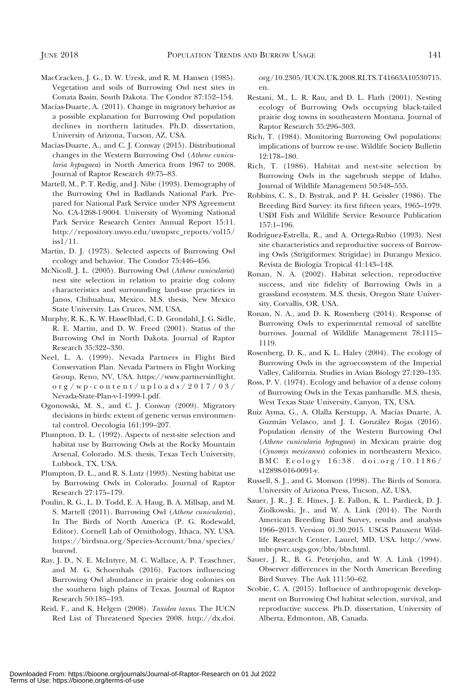- MacCracken, J. G., D. W. Uresk, and R. M. Hansen (1985). Vegetation and soils of Burrowing Owl nest sites in Conata Basin, South Dakota. The Condor 87:152–154.
- Macías-Duarte, A. (2011). Change in migratory behavior as a possible explanation for Burrowing Owl population declines in northern latitudes. Ph.D. dissertation, University of Arizona, Tucson, AZ, USA.
- Macías-Duarte, A., and C. J. Conway (2015). Distributional changes in the Western Burrowing Owl (Athene cunicularia hypugaea) in North America from 1967 to 2008. Journal of Raptor Research 49:75–83.
- Martell, M., P. T. Redig, and J. Nibe (1993). Demography of the Burrowing Owl in Badlands National Park. Prepared for National Park Service under NPS Agreement No. CA-1268-1-9004. University of Wyoming National Park Service Research Center Annual Report 15:11. http://repository.uwyo.edu/uwnpsrc\_reports/vol15/ iss1/11.
- Martin, D. J. (1973). Selected aspects of Burrowing Owl ecology and behavior. The Condor 75:446–456.
- McNicoll, J. L. (2005). Burrowing Owl (Athene cunicularia) nest site selection in relation to prairie dog colony characteristics and surrounding land-use practices in Janos, Chihuahua, Mexico. M.S. thesis, New Mexico State University. Las Cruces, NM, USA.
- Murphy, R. K., K. W. Hasselblad, C. D. Grondahl, J. G. Sidle, R. E. Martin, and D. W. Freed (2001). Status of the Burrowing Owl in North Dakota. Journal of Raptor Research 35:322–330.
- Neel, L. A. (1999). Nevada Partners in Flight Bird Conservation Plan. Nevada Partners in Flight Working Group, Reno, NV, USA. https://www.partnersinflight. org/wp-content/uploads/2017/03/ Nevada-State-Plan-v-1-1999-1.pdf.
- Ogonowski, M. S., and C. J. Conway (2009). Migratory decisions in birds: extent of genetic versus environmental control. Oecologia 161:199–207.
- Plumpton, D. L. (1992). Aspects of nest-site selection and habitat use by Burrowing Owls at the Rocky Mountain Arsenal, Colorado. M.S. thesis, Texas Tech University, Lubbock, TX, USA.
- Plumpton, D. L., and R. S. Lutz (1993). Nesting habitat use by Burrowing Owls in Colorado. Journal of Raptor Research 27:175–179.
- Poulin, R. G., L. D. Todd, E. A. Haug, B. A. Millsap, and M. S. Martell (2011). Burrowing Owl (Athene cunicularia), In The Birds of North America (P. G. Rodewald, Editor). Cornell Lab of Ornithology, Ithaca, NY, USA. https://birdsna.org/Species-Account/bna/species/ burowl.
- Ray, J. D., N. E. McIntyre, M. C. Wallace, A. P. Teaschner, and M. G. Schoenhals (2016). Factors influencing Burrowing Owl abundance in prairie dog colonies on the southern high plains of Texas. Journal of Raptor Research 50:185–193.
- Reid, F., and K. Helgen (2008). Taxidea taxus. The IUCN Red List of Threatened Species 2008. http://dx.doi.

org/10.2305/IUCN.UK.2008.RLTS.T41663A10530715. en.

- Restani, M., L. R. Rau, and D. L. Flath (2001). Nesting ecology of Burrowing Owls occupying black-tailed prairie dog towns in southeastern Montana. Journal of Raptor Research 35:296–303.
- Rich, T. (1984). Monitoring Burrowing Owl populations: implications of burrow re-use. Wildlife Society Bulletin 12:178–180.
- Rich, T. (1986). Habitat and nest-site selection by Burrowing Owls in the sagebrush steppe of Idaho. Journal of Wildlife Management 50:548–555.
- Robbins, C. S., D. Bystrak, and P. H. Geissler (1986). The Breeding Bird Survey: its first fifteen years, 1965–1979. USDI Fish and Wildlife Service Resource Publication 157:1–196.
- Rodríguez-Estrella, R., and A. Ortega-Rubio (1993). Nest site characteristics and reproductive success of Burrowing Owls (Strigiformes: Strigidae) in Durango Mexico. Revista de Biologia Tropical 41:143–148.
- Ronan, N. A. (2002). Habitat selection, reproductive success, and site fidelity of Burrowing Owls in a grassland ecosystem. M.S. thesis, Oregon State University, Corvallis, OR, USA.
- Ronan, N. A., and D. K. Rosenberg (2014). Response of Burrowing Owls to experimental removal of satellite burrows. Journal of Wildlife Management 78:1115– 1119.
- Rosenberg, D. K., and K. L. Haley (2004). The ecology of Burrowing Owls in the agroecosystem of the Imperial Valley, California. Studies in Avian Biology 27:120–135.
- Ross, P. V. (1974). Ecology and behavior of a dense colony of Burrowing Owls in the Texas panhandle. M.S. thesis, West Texas State University, Canyon, TX, USA.
- Ruiz Ayma, G., A. Olalla Kerstupp, A. Macías Duarte, A. Guzmán Velasco, and J. I. González Rojas (2016). Population density of the Western Burrowing Owl (Athene cunicularia hypugaea) in Mexican prairie dog (Cynomys mexicanus) colonies in northeastern Mexico. BMC Ecology 16:38. doi.org/10.1186/ s12898-016-0091-y.
- Russell, S. J., and G. Monson (1998). The Birds of Sonora. University of Arizona Press, Tucson, AZ, USA.
- Sauer, J. R., J. E. Hines, J. E. Fallon, K. L. Pardieck, D. J. Ziolkowski, Jr., and W. A. Link (2014). The North American Breeding Bird Survey, results and analysis 1966–2013. Version 01.30.2015. USGS Patuxent Wildlife Research Center, Laurel, MD, USA. http://www. mbr-pwrc.usgs.gov/bbs/bbs.html.
- Sauer, J. R., B. G. Peterjohn, and W. A. Link (1994). Observer differences in the North American Breeding Bird Survey. The Auk 111:50–62.
- Scobie, C. A. (2015). Influence of anthropogenic development on Burrowing Owl habitat selection, survival, and reproductive success. Ph.D. dissertation, University of Alberta, Edmonton, AB, Canada.